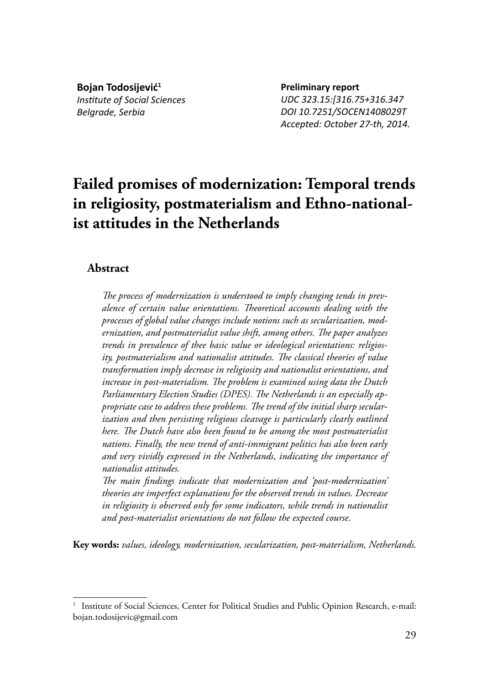**Bojan Todosijević<sup>1</sup>** *InsƟ tute of Social Sciences Belgrade, Serbia*

**Preliminary report** *UDC 323.15:[316.75+316.347 DOI 10.7251/SOCEN1408029T Accepted: October 27-th, 2014.*

# **Failed promises of modernization: Temporal trends in religiosity, postmaterialism and Ethno-nationalist attitudes in the Netherlands**

## **Abstract**

The process of modernization is understood to imply changing tends in prev*alence of certain value orientations. Th eoretical accounts dealing with the processes of global value changes include notions such as secularization, mod*ernization, and postmaterialist value shift, among others. The paper analyzes *trends in prevalence of thee basic value or ideological orientations: religios*ity, postmaterialism and nationalist attitudes. The classical theories of value *transformation imply decrease in religiosity and nationalist orientations, and*  increase in post-materialism. The problem is examined using data the Dutch Parliamentary Election Studies (DPES). The Netherlands is an especially appropriate case to address these problems. The trend of the initial sharp secular*ization and then persisting religious cleavage is particularly clearly outlined here. Th e Dutch have also been found to be among the most postmaterialist nations. Finally, the new trend of anti-immigrant politics has also been early and very vividly expressed in the Netherlands, indicating the importance of nationalist attitudes.* 

The main findings indicate that modernization and 'post-modernization' *theories are imperfect explanations for the observed trends in values. Decrease in religiosity is observed only for some indicators, while trends in nationalist and post-materialist orientations do not follow the expected course.*

**Key words:** *values, ideology, modernization, secularization, post-materialism, Netherlands.*

<sup>&</sup>lt;sup>1</sup> Institute of Social Sciences, Center for Political Studies and Public Opinion Research, e-mail: bojan.todosijevic@gmail.com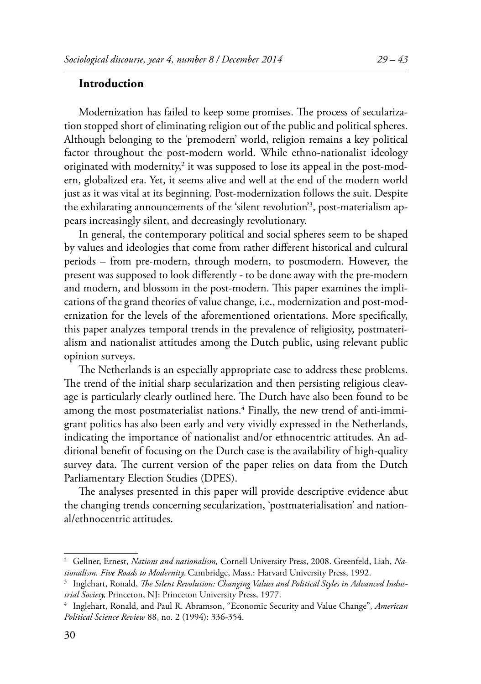## **Introduction**

Modernization has failed to keep some promises. The process of secularization stopped short of eliminating religion out of the public and political spheres. Although belonging to the 'premodern' world, religion remains a key political factor throughout the post-modern world. While ethno-nationalist ideology originated with modernity, $^2$  it was supposed to lose its appeal in the post-modern, globalized era. Yet, it seems alive and well at the end of the modern world just as it was vital at its beginning. Post-modernization follows the suit. Despite the exhilarating announcements of the 'silent revolution'3 , post-materialism appears increasingly silent, and decreasingly revolutionary.

In general, the contemporary political and social spheres seem to be shaped by values and ideologies that come from rather different historical and cultural periods – from pre-modern, through modern, to postmodern. However, the present was supposed to look differently - to be done away with the pre-modern and modern, and blossom in the post-modern. This paper examines the implications of the grand theories of value change, i.e., modernization and post-modernization for the levels of the aforementioned orientations. More specifically, this paper analyzes temporal trends in the prevalence of religiosity, postmaterialism and nationalist attitudes among the Dutch public, using relevant public opinion surveys.

The Netherlands is an especially appropriate case to address these problems. The trend of the initial sharp secularization and then persisting religious cleavage is particularly clearly outlined here. The Dutch have also been found to be among the most postmaterialist nations.<sup>4</sup> Finally, the new trend of anti-immigrant politics has also been early and very vividly expressed in the Netherlands, indicating the importance of nationalist and/or ethnocentric attitudes. An additional benefit of focusing on the Dutch case is the availability of high-quality survey data. The current version of the paper relies on data from the Dutch Parliamentary Election Studies (DPES).

The analyses presented in this paper will provide descriptive evidence abut the changing trends concerning secularization, 'postmaterialisation' and national/ethnocentric attitudes.

<sup>2</sup> Gellner, Ernest, *Nations and nationalism,* Cornell University Press, 2008. Greenfeld, Liah, *Nationalism. Five Roads to Modernity,* Cambridge, Mass.: Harvard University Press, 1992.

<sup>&</sup>lt;sup>3</sup> Inglehart, Ronald, *The Silent Revolution: Changing Values and Political Styles in Advanced Industrial Society,* Princeton, NJ: Princeton University Press, 1977.

<sup>4</sup> Inglehart, Ronald, and Paul R. Abramson, "Economic Security and Value Change", *American Political Science Review* 88, no. 2 (1994): 336-354.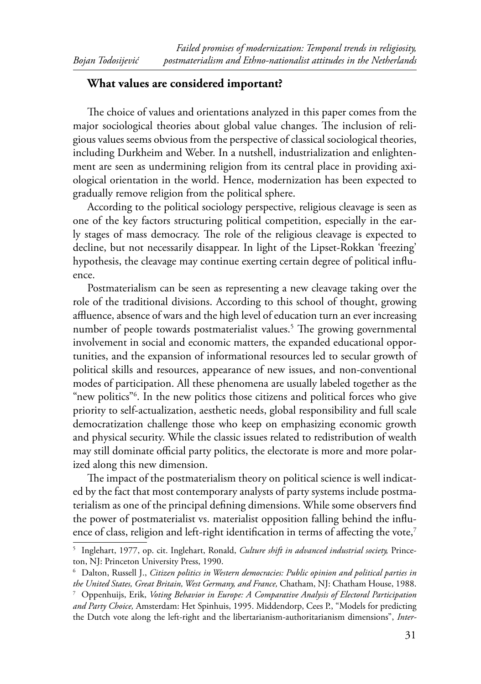# **What values are considered important?**

The choice of values and orientations analyzed in this paper comes from the major sociological theories about global value changes. The inclusion of religious values seems obvious from the perspective of classical sociological theories, including Durkheim and Weber. In a nutshell, industrialization and enlightenment are seen as undermining religion from its central place in providing axiological orientation in the world. Hence, modernization has been expected to gradually remove religion from the political sphere.

According to the political sociology perspective, religious cleavage is seen as one of the key factors structuring political competition, especially in the early stages of mass democracy. The role of the religious cleavage is expected to decline, but not necessarily disappear. In light of the Lipset-Rokkan 'freezing' hypothesis, the cleavage may continue exerting certain degree of political influence.

Postmaterialism can be seen as representing a new cleavage taking over the role of the traditional divisions. According to this school of thought, growing affluence, absence of wars and the high level of education turn an ever increasing number of people towards postmaterialist values.<sup>5</sup> The growing governmental involvement in social and economic matters, the expanded educational opportunities, and the expansion of informational resources led to secular growth of political skills and resources, appearance of new issues, and non-conventional modes of participation. All these phenomena are usually labeled together as the "new politics"6 . In the new politics those citizens and political forces who give priority to self-actualization, aesthetic needs, global responsibility and full scale democratization challenge those who keep on emphasizing economic growth and physical security. While the classic issues related to redistribution of wealth may still dominate official party politics, the electorate is more and more polarized along this new dimension.

The impact of the postmaterialism theory on political science is well indicated by the fact that most contemporary analysts of party systems include postmaterialism as one of the principal defining dimensions. While some observers find the power of postmaterialist vs. materialist opposition falling behind the influence of class, religion and left-right identification in terms of affecting the vote,<sup>7</sup>

<sup>5</sup> Inglehart, 1977, op. cit. Inglehart, Ronald, *Culture shift in advanced industrial society,* Princeton, NJ: Princeton University Press, 1990.

<sup>6</sup> Dalton, Russell J., *Citizen politics in Western democracies: Public opinion and political parties in the United States, Great Britain, West Germany, and France,* Chatham, NJ: Chatham House, 1988. 7 Oppenhuijs, Erik, *Voting Behavior in Europe: A Comparative Analysis of Electoral Participation and Party Choice,* Amsterdam: Het Spinhuis, 1995. Middendorp, Cees P., "Models for predicting the Dutch vote along the left-right and the libertarianism-authoritarianism dimensions", *Inter-*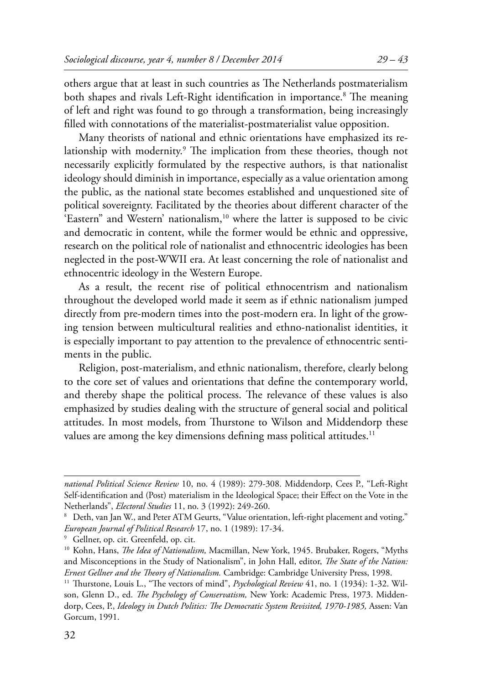others argue that at least in such countries as The Netherlands postmaterialism both shapes and rivals Left-Right identification in importance.<sup>8</sup> The meaning of left and right was found to go through a transformation, being increasingly filled with connotations of the materialist-postmaterialist value opposition.

Many theorists of national and ethnic orientations have emphasized its relationship with modernity.<sup>9</sup> The implication from these theories, though not necessarily explicitly formulated by the respective authors, is that nationalist ideology should diminish in importance, especially as a value orientation among the public, as the national state becomes established and unquestioned site of political sovereignty. Facilitated by the theories about different character of the 'Eastern" and Western' nationalism,<sup>10</sup> where the latter is supposed to be civic and democratic in content, while the former would be ethnic and oppressive, research on the political role of nationalist and ethnocentric ideologies has been neglected in the post-WWII era. At least concerning the role of nationalist and ethnocentric ideology in the Western Europe.

As a result, the recent rise of political ethnocentrism and nationalism throughout the developed world made it seem as if ethnic nationalism jumped directly from pre-modern times into the post-modern era. In light of the growing tension between multicultural realities and ethno-nationalist identities, it is especially important to pay attention to the prevalence of ethnocentric sentiments in the public.

Religion, post-materialism, and ethnic nationalism, therefore, clearly belong to the core set of values and orientations that define the contemporary world, and thereby shape the political process. The relevance of these values is also emphasized by studies dealing with the structure of general social and political attitudes. In most models, from Thurstone to Wilson and Middendorp these values are among the key dimensions defining mass political attitudes.<sup>11</sup>

*national Political Science Review* 10, no. 4 (1989): 279-308. Middendorp, Cees P., "Left-Right Self-identification and (Post) materialism in the Ideological Space; their Effect on the Vote in the Netherlands", *Electoral Studies* 11, no. 3 (1992): 249-260.

 $^{\rm 8}~$  Deth, van Jan W., and Peter ATM Geurts, "Value orientation, left-right placement and voting." *European Journal of Political Research* 17, no. 1 (1989): 17-34.

<sup>9</sup> Gellner, op. cit. Greenfeld, op. cit.

<sup>&</sup>lt;sup>10</sup> Kohn, Hans, *The Idea of Nationalism*, Macmillan, New York, 1945. Brubaker, Rogers, "Myths and Misconceptions in the Study of Nationalism", in John Hall, editor, *The State of the Nation:* Ernest Gellner and the Theory of Nationalism. Cambridge: Cambridge University Press, 1998.

<sup>&</sup>lt;sup>11</sup> Thurstone, Louis L., "The vectors of mind", *Psychological Review* 41, no. 1 (1934): 1-32. Wilson, Glenn D., ed. The Psychology of Conservatism, New York: Academic Press, 1973. Middendorp, Cees, P., *Ideology in Dutch Politics: The Democratic System Revisited, 1970-1985*, Assen: Van Gorcum, 1991.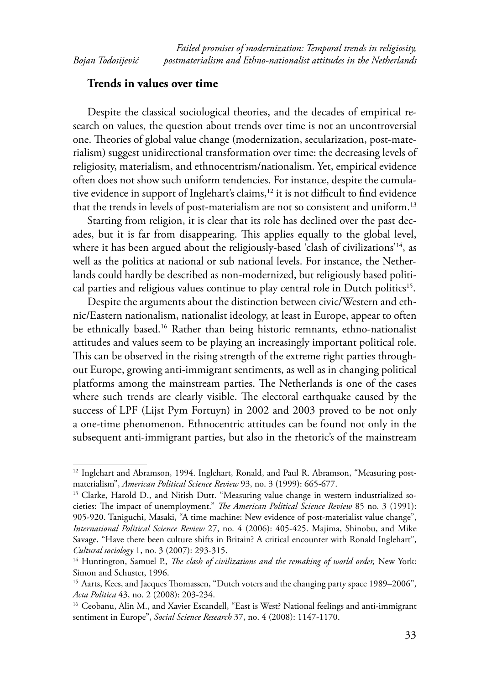#### **Trends in values over time**

Despite the classical sociological theories, and the decades of empirical research on values, the question about trends over time is not an uncontroversial one. Theories of global value change (modernization, secularization, post-materialism) suggest unidirectional transformation over time: the decreasing levels of religiosity, materialism, and ethnocentrism/nationalism. Yet, empirical evidence often does not show such uniform tendencies. For instance, despite the cumulative evidence in support of Inglehart's claims,<sup>12</sup> it is not difficult to find evidence that the trends in levels of post-materialism are not so consistent and uniform.<sup>13</sup>

Starting from religion, it is clear that its role has declined over the past decades, but it is far from disappearing. This applies equally to the global level, where it has been argued about the religiously-based 'clash of civilizations'<sup>14</sup>, as well as the politics at national or sub national levels. For instance, the Netherlands could hardly be described as non-modernized, but religiously based political parties and religious values continue to play central role in Dutch politics<sup>15</sup>.

Despite the arguments about the distinction between civic/Western and ethnic/Eastern nationalism, nationalist ideology, at least in Europe, appear to often be ethnically based.<sup>16</sup> Rather than being historic remnants, ethno-nationalist attitudes and values seem to be playing an increasingly important political role. This can be observed in the rising strength of the extreme right parties throughout Europe, growing anti-immigrant sentiments, as well as in changing political platforms among the mainstream parties. The Netherlands is one of the cases where such trends are clearly visible. The electoral earthquake caused by the success of LPF (Lijst Pym Fortuyn) in 2002 and 2003 proved to be not only a one-time phenomenon. Ethnocentric attitudes can be found not only in the subsequent anti-immigrant parties, but also in the rhetoric's of the mainstream

<sup>&</sup>lt;sup>12</sup> Inglehart and Abramson, 1994. Inglehart, Ronald, and Paul R. Abramson, "Measuring postmaterialism", *American Political Science Review* 93, no. 3 (1999): 665-677.

<sup>&</sup>lt;sup>13</sup> Clarke, Harold D., and Nitish Dutt. "Measuring value change in western industrialized societies: The impact of unemployment." *The American Political Science Review* 85 no. 3 (1991): 905-920. Taniguchi, Masaki, "A time machine: New evidence of post-materialist value change", *International Political Science Review* 27, no. 4 (2006): 405-425. Majima, Shinobu, and Mike Savage. "Have there been culture shifts in Britain? A critical encounter with Ronald Inglehart", *Cultural sociology* 1, no. 3 (2007): 293-315.

<sup>&</sup>lt;sup>14</sup> Huntington, Samuel P., *The clash of civilizations and the remaking of world order*, New York: Simon and Schuster, 1996.

<sup>&</sup>lt;sup>15</sup> Aarts, Kees, and Jacques Thomassen, "Dutch voters and the changing party space 1989–2006", *Acta Politica* 43, no. 2 (2008): 203-234.

<sup>&</sup>lt;sup>16</sup> Ceobanu, Alin M., and Xavier Escandell, "East is West? National feelings and anti-immigrant sentiment in Europe", *Social Science Research* 37, no. 4 (2008): 1147-1170.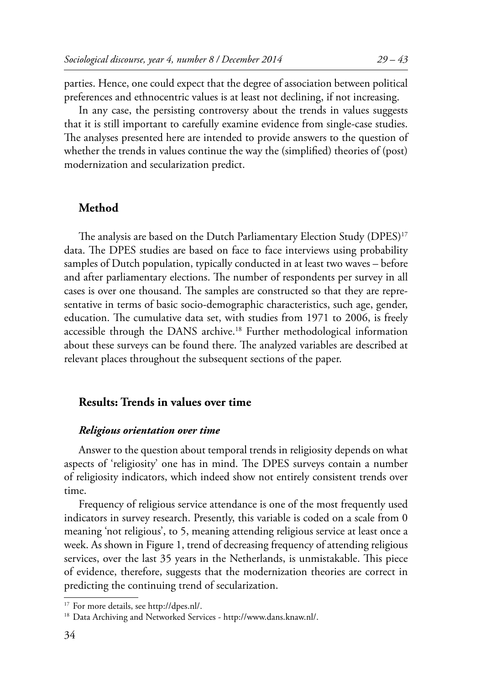parties. Hence, one could expect that the degree of association between political preferences and ethnocentric values is at least not declining, if not increasing.

In any case, the persisting controversy about the trends in values suggests that it is still important to carefully examine evidence from single-case studies. The analyses presented here are intended to provide answers to the question of whether the trends in values continue the way the (simplified) theories of (post) modernization and secularization predict.

## **Method**

The analysis are based on the Dutch Parliamentary Election Study ( $DPES$ )<sup>17</sup> data. The DPES studies are based on face to face interviews using probability samples of Dutch population, typically conducted in at least two waves – before and after parliamentary elections. The number of respondents per survey in all cases is over one thousand. The samples are constructed so that they are representative in terms of basic socio-demographic characteristics, such age, gender, education. The cumulative data set, with studies from 1971 to 2006, is freely accessible through the DANS archive.<sup>18</sup> Further methodological information about these surveys can be found there. The analyzed variables are described at relevant places throughout the subsequent sections of the paper.

## **Results: Trends in values over time**

#### *Religious orientation over time*

Answer to the question about temporal trends in religiosity depends on what aspects of 'religiosity' one has in mind. The DPES surveys contain a number of religiosity indicators, which indeed show not entirely consistent trends over time.

Frequency of religious service attendance is one of the most frequently used indicators in survey research. Presently, this variable is coded on a scale from 0 meaning 'not religious', to 5, meaning attending religious service at least once a week. As shown in Figure 1, trend of decreasing frequency of attending religious services, over the last 35 years in the Netherlands, is unmistakable. This piece of evidence, therefore, suggests that the modernization theories are correct in predicting the continuing trend of secularization.

<sup>17</sup> For more details, see http://dpes.nl/.

<sup>18</sup> Data Archiving and Networked Services - http://www.dans.knaw.nl/.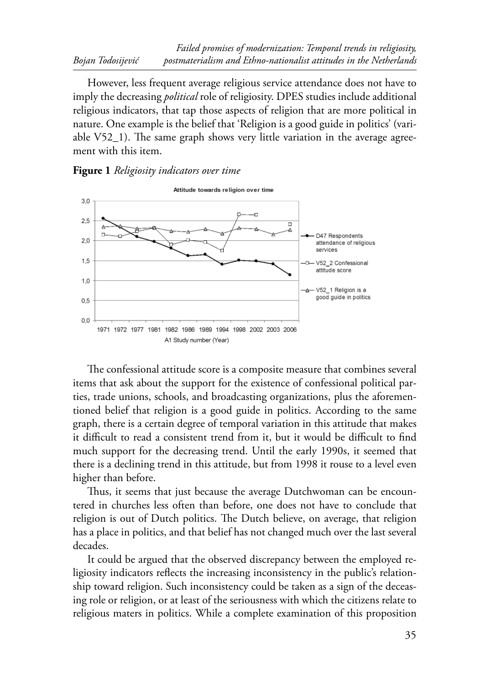However, less frequent average religious service attendance does not have to imply the decreasing *political* role of religiosity. DPES studies include additional religious indicators, that tap those aspects of religion that are more political in nature. One example is the belief that 'Religion is a good guide in politics' (variable  $V52_1$ ). The same graph shows very little variation in the average agreement with this item.

#### **Figure 1** *Religiosity i ndicators over time*



The confessional attitude score is a composite measure that combines several items that ask about the support for the existence of confessional political parties, trade unions, schools, and broadcasting organizations, plus the aforementioned belief that religion is a good guide in politics. According to the same graph, there is a certain degree of temporal variation in this attitude that makes it difficult to read a consistent trend from it, but it would be difficult to find much support for the decreasing trend. Until the early 1990s, it seemed that there is a declining trend in this attitude, but from 1998 it rouse to a level even higher than before.

Thus, it seems that just because the average Dutchwoman can be encountered in churches less often than before, one does not have to conclude that religion is out of Dutch politics. The Dutch believe, on average, that religion has a place in politics, and that belief has not changed much over the last several decades.

It could be argued that the observed discrepancy between the employed religiosity indicators reflects the increasing inconsistency in the public's relationship toward religion. Such inconsistency could be taken as a sign of the deceasing role or religion, or at least of the seriousness with which the citizens relate to religious maters in politics. While a complete examination of this proposition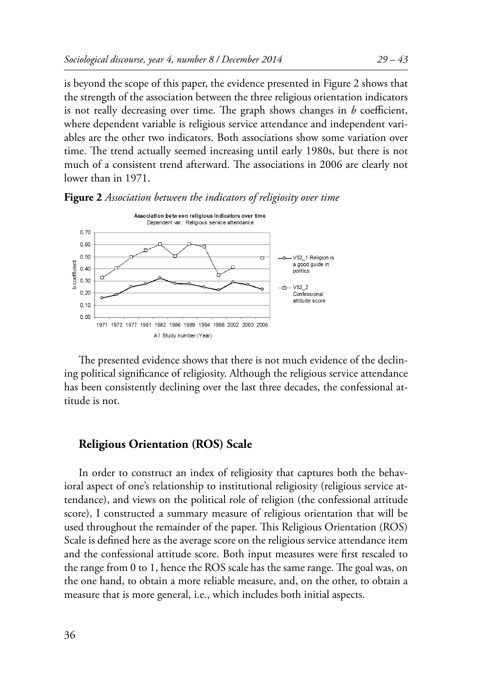is beyond the scope of this paper, the evidence presented in Figure 2 shows that the strength of the association between the three religious orientation indicators is not really decreasing over time. The graph shows changes in  $b$  coefficient, where dependent variable is religious service attendance and independent variables are the other two indicators. Both associations show some variation over time. The trend actually seemed increasing until early 1980s, but there is not much of a consistent trend afterward. The associations in 2006 are clearly not lower than in 1971.



**Figure 2** Association between the indicators of religiosity over time

The presented evidence shows that there is not much evidence of the declining political significance of religiosity. Although the religious service attendance has been consistently declining over the last three decades, the confessional attitude is not.

#### **Religious Orientation (ROS) Scale**

In order to construct an index of religiosity that captures both the behavioral aspect of one's relationship to institutional religiosity (religious service attendance), and views on the political role of religion (the confessional attitude score), I constructed a summary measure of religious orientation that will be used throughout the remainder of the paper. This Religious Orientation (ROS) Scale is defined here as the average score on the religious service attendance item and the confessional attitude score. Both input measures were first rescaled to the range from 0 to 1, hence the ROS scale has the same range. The goal was, on the one hand, to obtain a more reliable measure, and, on the other, to obtain a measure that is more general, i.e., which includes both initial aspects.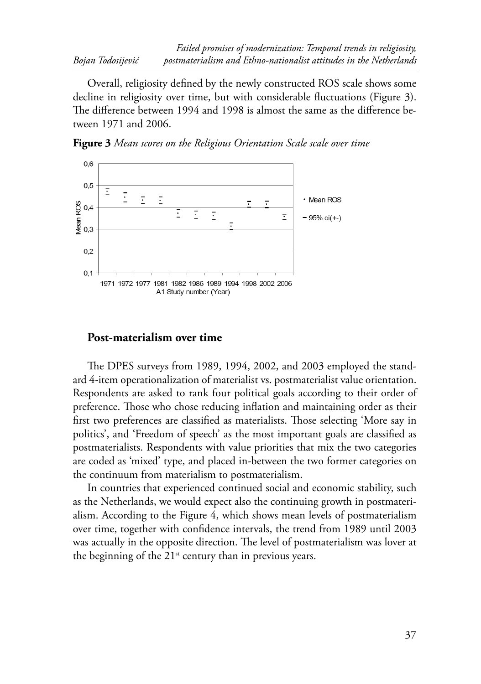Overall, religiosity defined by the newly constructed ROS scale shows some decline in religiosity over time, but with considerable fluctuations (Figure 3). The difference between 1994 and 1998 is almost the same as the difference between 1971 and 2006.





## **Post-materialism over time**

The DPES surveys from 1989, 1994, 2002, and 2003 employed the standard 4-item operationalization of materialist vs. postmaterialist value orientation. Respondents are asked to rank four political goals according to their order of preference. Those who chose reducing inflation and maintaining order as their first two preferences are classified as materialists. Those selecting 'More say in politics', and 'Freedom of speech' as the most important goals are classified as postmaterialists. Respondents with value priorities that mix the two categories are coded as 'mixed' type, and placed in-between the two former categories on the continuum from materialism to postmaterialism.

In countries that experienced continued social and economic stability, such as the Netherlands, we would expect also the continuing growth in postmaterialism. According to the Figure 4, which shows mean levels of postmaterialism over time, together with confidence intervals, the trend from 1989 until 2003 was actually in the opposite direction. The level of postmaterialism was lover at the beginning of the  $21^{st}$  century than in previous years.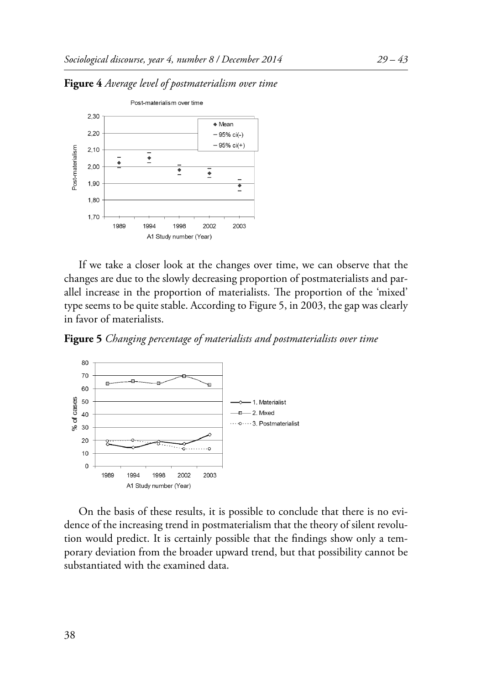

**Figure 4** *Average level of postmaterialism over time* 

If we take a closer look at the changes over time, we can observe that the changes are due to the slowly decreasing proportion of postmaterialists and parallel increase in the proportion of materialists. The proportion of the 'mixed' type seems to be quite stable. According to Figure 5, in 2003, the gap was clearly in favor of materialists.

**Figure 5** *Changing percentage of m aterialists and postmaterialists over time*



On the basis of these results, it is possible to conclude that there is no evidence of the increasing trend in postmaterialism that the theory of silent revolution would predict. It is certainly possible that the findings show only a temporary deviation from the broader upward trend, but that possibility cannot be substantiated with the examined data.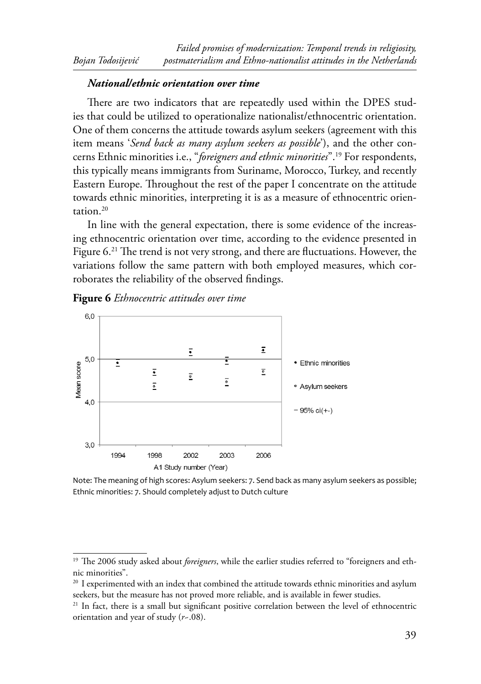#### *National/ethnic orientation over time*

There are two indicators that are repeatedly used within the DPES studies that could be utilized to operationalize nationalist/ethnocentric orientation. One of them concerns the attitude towards asylum seekers (agreement with this item means '*Send back as many asylum seekers as possible*'), and the other concerns Ethnic minorities i.e., "*foreigners and ethnic minorities*".19 For respondents, this typically means immigrants from Suriname, Morocco, Turkey, and recently Eastern Europe. Throughout the rest of the paper I concentrate on the attitude towards ethnic minorities, interpreting it is as a measure of ethnocentric orientation.20

In line with the general expectation, there is some evidence of the increasing ethnocentric orientation over time, according to the evidence presented in Figure  $6.^{21}$  The trend is not very strong, and there are fluctuations. However, the variations follow the same pattern with both employed measures, which corroborates the reliability of the observed findings.

#### **Figure 6** *Ethnocentric attitudes over time*



Note: The meaning of high scores: Asylum seekers: 7. Send back as many asylum seekers as possible; Ethnic minorities: 7. Should completely adjust to Dutch culture

<sup>&</sup>lt;sup>19</sup> The 2006 study asked about *foreigners*, while the earlier studies referred to "foreigners and ethnic minorities".

 $20$  I experimented with an index that combined the attitude towards ethnic minorities and asylum seekers, but the measure has not proved more reliable, and is available in fewer studies.

<sup>&</sup>lt;sup>21</sup> In fact, there is a small but significant positive correlation between the level of ethnocentric orientation and year of study (*r*~.08).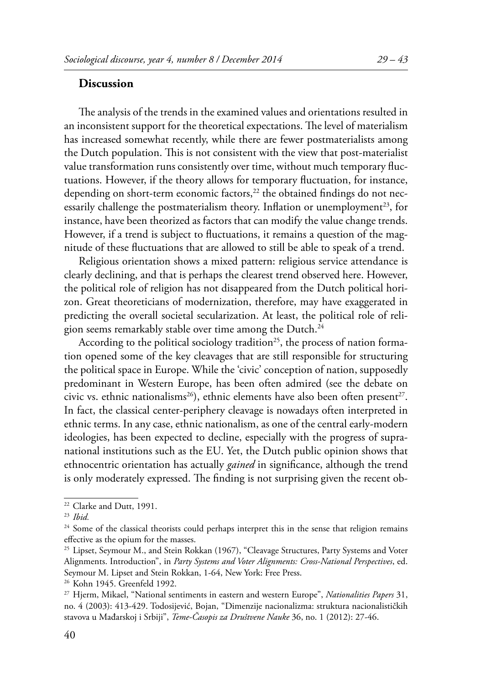# **Discussion**

The analysis of the trends in the examined values and orientations resulted in an inconsistent support for the theoretical expectations. The level of materialism has increased somewhat recently, while there are fewer postmaterialists among the Dutch population. This is not consistent with the view that post-materialist value transformation runs consistently over time, without much temporary fluctuations. However, if the theory allows for temporary fluctuation, for instance, depending on short-term economic factors, $22$  the obtained findings do not necessarily challenge the postmaterialism theory. Inflation or unemployment<sup>23</sup>, for instance, have been theorized as factors that can modify the value change trends. However, if a trend is subject to fluctuations, it remains a question of the magnitude of these fluctuations that are allowed to still be able to speak of a trend.

Religious orientation shows a mixed pattern: religious service attendance is clearly declining, and that is perhaps the clearest trend observed here. However, the political role of religion has not disappeared from the Dutch political horizon. Great theoreticians of modernization, therefore, may have exaggerated in predicting the overall societal secularization. At least, the political role of religion seems remarkably stable over time among the Dutch.<sup>24</sup>

According to the political sociology tradition<sup>25</sup>, the process of nation formation opened some of the key cleavages that are still responsible for structuring the political space in Europe. While the 'civic' conception of nation, supposedly predominant in Western Europe, has been often admired (see the debate on civic vs. ethnic nationalisms<sup>26</sup>), ethnic elements have also been often present<sup>27</sup>. In fact, the classical center-periphery cleavage is nowadays often interpreted in ethnic terms. In any case, ethnic nationalism, as one of the central early-modern ideologies, has been expected to decline, especially with the progress of supranational institutions such as the EU. Yet, the Dutch public opinion shows that ethnocentric orientation has actually *gained* in significance, although the trend is only moderately expressed. The finding is not surprising given the recent ob-

<sup>&</sup>lt;sup>22</sup> Clarke and Dutt, 1991.

<sup>23</sup> *Ibid.*

 $24$  Some of the classical theorists could perhaps interpret this in the sense that religion remains effective as the opium for the masses.

<sup>&</sup>lt;sup>25</sup> Lipset, Seymour M., and Stein Rokkan (1967), "Cleavage Structures, Party Systems and Voter Alignments. Introduction", in *Party Systems and Voter Alignments: Cross-National Perspectives*, ed. Seymour M. Lipset and Stein Rokkan, 1-64, New York: Free Press.

<sup>26</sup> Kohn 1945. Greenfeld 1992.

<sup>27</sup> Hjerm, Mikael, "National sentiments in eastern and western Europe", *Nationalities Papers* 31, no. 4 (2003): 413-429. Todosijević, Bojan, "Dimenzije nacionalizma: struktura nacionalističkih stavova u Mađarskoj i Srbiji", *Teme-Časopis za Društvene Nauke* 36, no. 1 (2012): 27-46.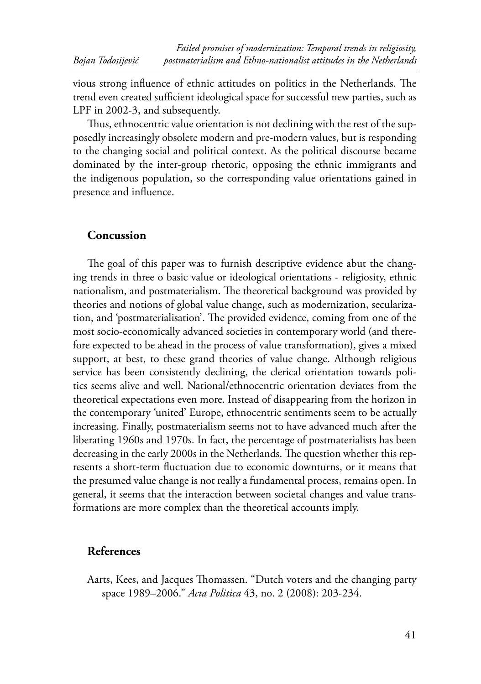vious strong influence of ethnic attitudes on politics in the Netherlands. The trend even created sufficient ideological space for successful new parties, such as LPF in 2002-3, and subsequently.

Thus, ethnocentric value orientation is not declining with the rest of the supposedly increasingly obsolete modern and pre-modern values, but is responding to the changing social and political context. As the political discourse became dominated by the inter-group rhetoric, opposing the ethnic immigrants and the indigenous population, so the corresponding value orientations gained in presence and influence.

# **Concussion**

The goal of this paper was to furnish descriptive evidence abut the changing trends in three o basic value or ideological orientations - religiosity, ethnic nationalism, and postmaterialism. The theoretical background was provided by theories and notions of global value change, such as modernization, secularization, and 'postmaterialisation'. The provided evidence, coming from one of the most socio-economically advanced societies in contemporary world (and therefore expected to be ahead in the process of value transformation), gives a mixed support, at best, to these grand theories of value change. Although religious service has been consistently declining, the clerical orientation towards politics seems alive and well. National/ethnocentric orientation deviates from the theoretical expectations even more. Instead of disappearing from the horizon in the contemporary 'united' Europe, ethnocentric sentiments seem to be actually increasing. Finally, postmaterialism seems not to have advanced much after the liberating 1960s and 1970s. In fact, the percentage of postmaterialists has been decreasing in the early 2000s in the Netherlands. The question whether this represents a short-term fluctuation due to economic downturns, or it means that the presumed value change is not really a fundamental process, remains open. In general, it seems that the interaction between societal changes and value transformations are more complex than the theoretical accounts imply.

# **References**

Aarts, Kees, and Jacques Thomassen. "Dutch voters and the changing party space 1989–2006." *Acta Politica* 43, no. 2 (2008): 203-234.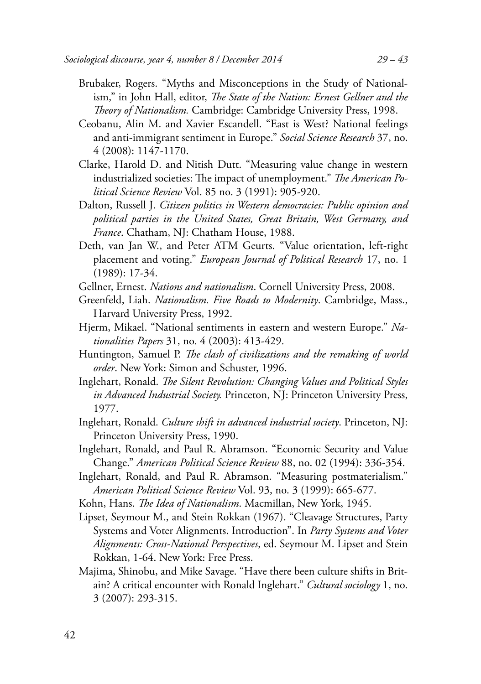- Brubaker, Rogers. "Myths and Misconceptions in the Study of Nationalism," in John Hall, editor, *The State of the Nation: Ernest Gellner and the Th eory of Nationalism.* Cambridge: Cambridge University Press, 1998.
- Ceobanu, Alin M. and Xavier Escandell. "East is West? National feelings and anti-immigrant sentiment in Europe." *Social Science Research* 37, no. 4 (2008): 1147-1170.
- Clarke, Harold D. and Nitish Dutt. "Measuring value change in western industrialized societies: The impact of unemployment." *The American Political Science Review* Vol. 85 no. 3 (1991): 905-920.
- Dalton, Russell J. *Citizen politics in Western democracies: Public opinion and political parties in the United States, Great Britain, West Germany, and France*. Chatham, NJ: Chatham House, 1988.
- Deth, van Jan W., and Peter ATM Geurts. "Value orientation, left‐right placement and voting." *European Journal of Political Research* 17, no. 1 (1989): 17-34.
- Gellner, Ernest. *Nations and nationalism*. Cornell University Press, 2008.
- Greenfeld, Liah. *Nationalism. Five Roads to Modernity*. Cambridge, Mass., Harvard University Press, 1992.
- Hjerm, Mikael. "National sentiments in eastern and western Europe." *Nationalities Papers* 31, no. 4 (2003): 413-429.
- Huntington, Samuel P. *The clash of civilizations and the remaking of world order*. New York: Simon and Schuster, 1996.
- Inglehart, Ronald. *The Silent Revolution: Changing Values and Political Styles in Advanced Industrial Society.* Princeton, NJ: Princeton University Press, 1977.
- Inglehart, Ronald. *Culture shift in advanced industrial society*. Princeton, NJ: Princeton University Press, 1990.
- Inglehart, Ronald, and Paul R. Abramson. "Economic Security and Value Change." *American Political Science Review* 88, no. 02 (1994): 336-354.
- Inglehart, Ronald, and Paul R. Abramson. "Measuring postmaterialism." *American Political Science Review* Vol. 93, no. 3 (1999): 665-677.
- Kohn, Hans. *The Idea of Nationalism*. Macmillan, New York, 1945.
- Lipset, Seymour M., and Stein Rokkan (1967). "Cleavage Structures, Party Systems and Voter Alignments. Introduction". In *Party Systems and Voter Alignments: Cross-National Perspectives*, ed. Seymour M. Lipset and Stein Rokkan, 1-64. New York: Free Press.
- Majima, Shinobu, and Mike Savage. "Have there been culture shifts in Britain? A critical encounter with Ronald Inglehart." *Cultural sociology* 1, no. 3 (2007): 293-315.